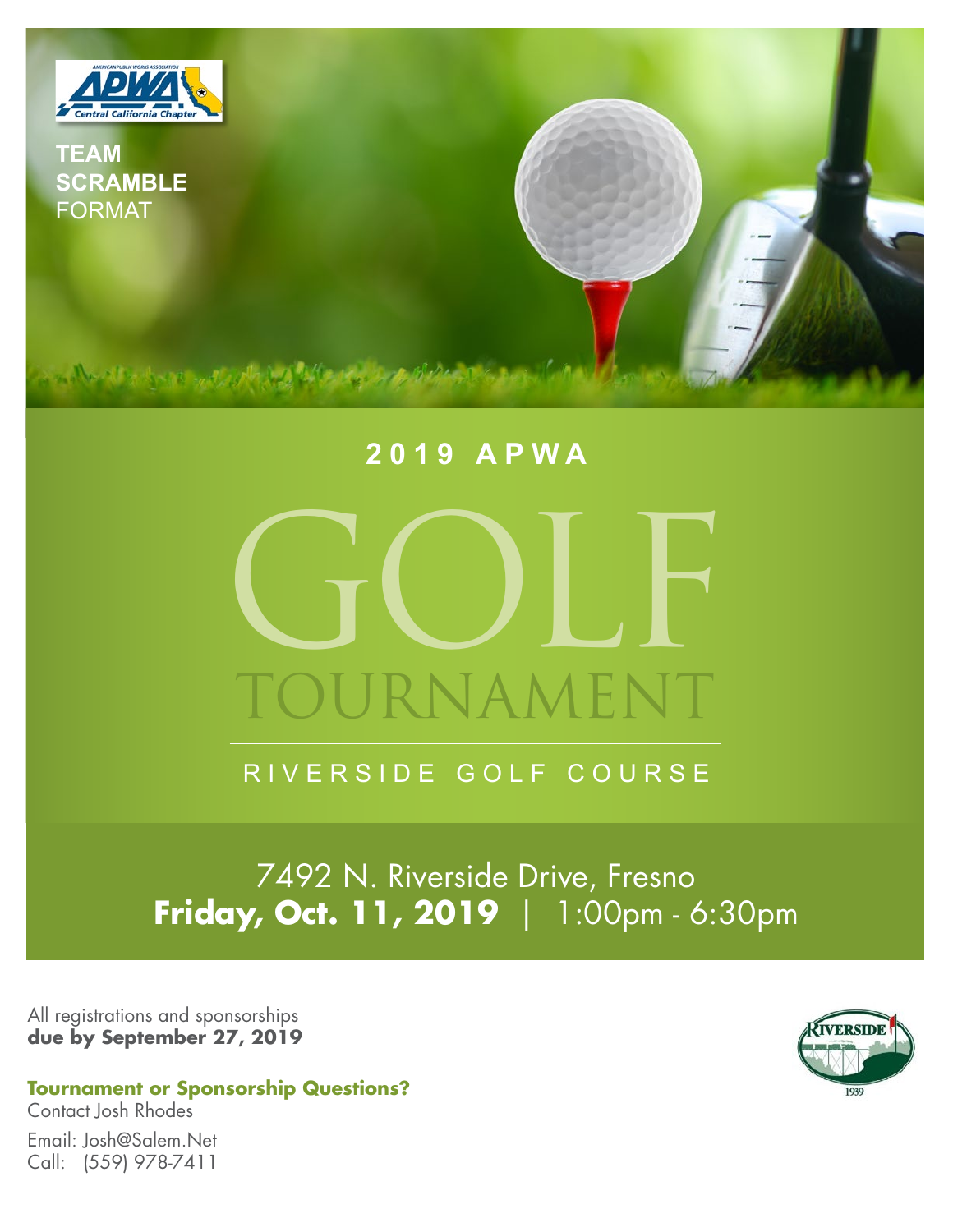

# **2019 APWA**



RIVERSIDE GOLF COURSE

7492 N. Riverside Drive, Fresno **Friday, Oct. 11, 2019** | 1:00pm - 6:30pm

All registrations and sponsorships **due by September 27, 2019**



**Tournament or Sponsorship Questions?**

Contact Josh Rhodes Email: Josh@Salem.Net Call: (559) 978-7411